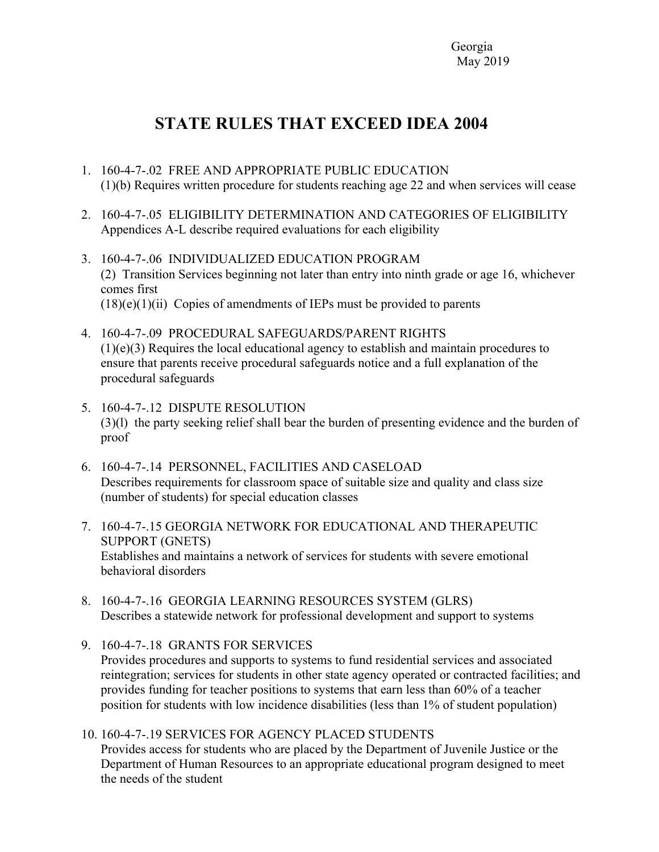Georgia May 2019

## **STATE RULES THAT EXCEED IDEA 2004**

- 1. 160-4-7-.02 FREE AND APPROPRIATE PUBLIC EDUCATION (1)(b) Requires written procedure for students reaching age 22 and when services will cease
- 2. 160-4-7-.05 ELIGIBILITY DETERMINATION AND CATEGORIES OF ELIGIBILITY Appendices A-L describe required evaluations for each eligibility
- 3. 160-4-7-.06 INDIVIDUALIZED EDUCATION PROGRAM (2) Transition Services beginning not later than entry into ninth grade or age 16, whichever comes first  $(18)(e)(1)(ii)$  Copies of amendments of IEPs must be provided to parents
- 4. 160-4-7-.09 PROCEDURAL SAFEGUARDS/PARENT RIGHTS (1)(e)(3) Requires the local educational agency to establish and maintain procedures to ensure that parents receive procedural safeguards notice and a full explanation of the procedural safeguards
- 5. 160-4-7-.12 DISPUTE RESOLUTION (3)(l) the party seeking relief shall bear the burden of presenting evidence and the burden of proof
- 6. 160-4-7-.14 PERSONNEL, FACILITIES AND CASELOAD Describes requirements for classroom space of suitable size and quality and class size (number of students) for special education classes
- 7. 160-4-7-.15 GEORGIA NETWORK FOR EDUCATIONAL AND THERAPEUTIC SUPPORT (GNETS) Establishes and maintains a network of services for students with severe emotional behavioral disorders
- 8. 160-4-7-.16 GEORGIA LEARNING RESOURCES SYSTEM (GLRS) Describes a statewide network for professional development and support to systems
- 9. 160-4-7-.18 GRANTS FOR SERVICES Provides procedures and supports to systems to fund residential services and associated reintegration; services for students in other state agency operated or contracted facilities; and provides funding for teacher positions to systems that earn less than 60% of a teacher position for students with low incidence disabilities (less than 1% of student population)
- 10. 160-4-7-.19 SERVICES FOR AGENCY PLACED STUDENTS Provides access for students who are placed by the Department of Juvenile Justice or the Department of Human Resources to an appropriate educational program designed to meet the needs of the student